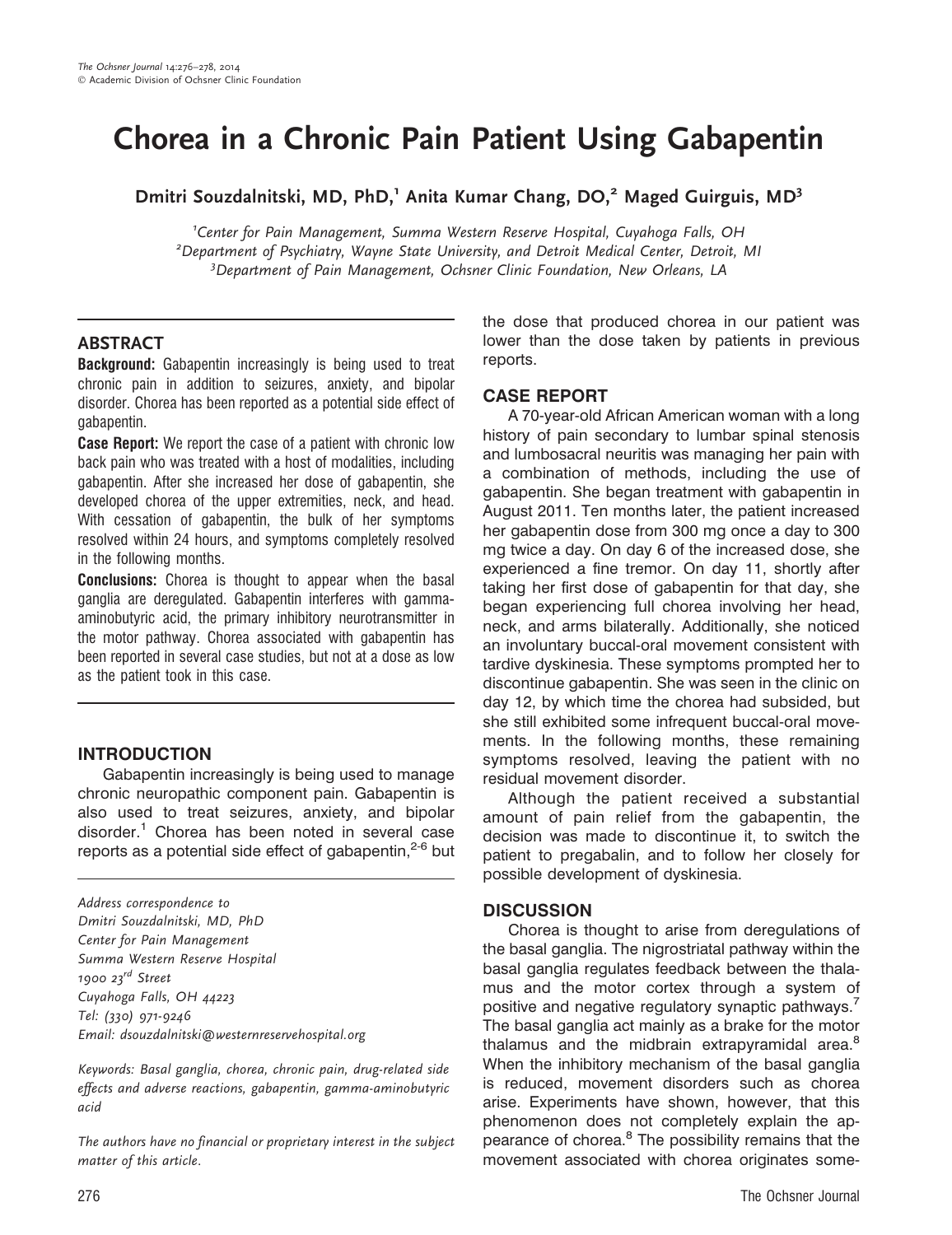# Chorea in a Chronic Pain Patient Using Gabapentin

Dmitri Souzdalnitski, MD, PhD,<sup>1</sup> Anita Kumar Chang, DO,<sup>2</sup> Maged Guirguis, MD<sup>3</sup>

<sup>1</sup>Center for Pain Management, Summa Western Reserve Hospital, Cuyahoga Falls, OH<br><sup>2</sup>Denastment of Psychiatry Wayne State University, and Detroit Medical Center, Detroit  $<sup>2</sup>$ Department of Psychiatry, Wayne State University, and Detroit Medical Center, Detroit, MI</sup> <sup>3</sup> Department of Pain Management, Ochsner Clinic Foundation, New Orleans, LA

#### ABSTRACT

Background: Gabapentin increasingly is being used to treat chronic pain in addition to seizures, anxiety, and bipolar disorder. Chorea has been reported as a potential side effect of gabapentin.

**Case Report:** We report the case of a patient with chronic low back pain who was treated with a host of modalities, including gabapentin. After she increased her dose of gabapentin, she developed chorea of the upper extremities, neck, and head. With cessation of gabapentin, the bulk of her symptoms resolved within 24 hours, and symptoms completely resolved in the following months.

**Conclusions:** Chorea is thought to appear when the basal ganglia are deregulated. Gabapentin interferes with gammaaminobutyric acid, the primary inhibitory neurotransmitter in the motor pathway. Chorea associated with gabapentin has been reported in several case studies, but not at a dose as low as the patient took in this case.

## **INTRODUCTION**

Gabapentin increasingly is being used to manage chronic neuropathic component pain. Gabapentin is also used to treat seizures, anxiety, and bipolar disorder. $1$  Chorea has been noted in several case reports as a potential side effect of gabapentin, $2-6$  but

Address correspondence to Dmitri Souzdalnitski, MD, PhD Center for Pain Management Summa Western Reserve Hospital 1900  $23^{rd}$  Street Cuyahoga Falls, OH 44223 Tel: (330) 971-9246 Email: dsouzdalnitski@westernreservehospital.org

Keywords: Basal ganglia, chorea, chronic pain, drug-related side effects and adverse reactions, gabapentin, gamma-aminobutyric acid

The authors have no financial or proprietary interest in the subject matter of this article.

the dose that produced chorea in our patient was lower than the dose taken by patients in previous reports.

## CASE REPORT

A 70-year-old African American woman with a long history of pain secondary to lumbar spinal stenosis and lumbosacral neuritis was managing her pain with a combination of methods, including the use of gabapentin. She began treatment with gabapentin in August 2011. Ten months later, the patient increased her gabapentin dose from 300 mg once a day to 300 mg twice a day. On day 6 of the increased dose, she experienced a fine tremor. On day 11, shortly after taking her first dose of gabapentin for that day, she began experiencing full chorea involving her head, neck, and arms bilaterally. Additionally, she noticed an involuntary buccal-oral movement consistent with tardive dyskinesia. These symptoms prompted her to discontinue gabapentin. She was seen in the clinic on day 12, by which time the chorea had subsided, but she still exhibited some infrequent buccal-oral movements. In the following months, these remaining symptoms resolved, leaving the patient with no residual movement disorder.

Although the patient received a substantial amount of pain relief from the gabapentin, the decision was made to discontinue it, to switch the patient to pregabalin, and to follow her closely for possible development of dyskinesia.

## **DISCUSSION**

Chorea is thought to arise from deregulations of the basal ganglia. The nigrostriatal pathway within the basal ganglia regulates feedback between the thalamus and the motor cortex through a system of positive and negative regulatory synaptic pathways.<sup>7</sup> The basal ganglia act mainly as a brake for the motor thalamus and the midbrain extrapyramidal area.<sup>8</sup> When the inhibitory mechanism of the basal ganglia is reduced, movement disorders such as chorea arise. Experiments have shown, however, that this phenomenon does not completely explain the appearance of chorea.<sup>8</sup> The possibility remains that the movement associated with chorea originates some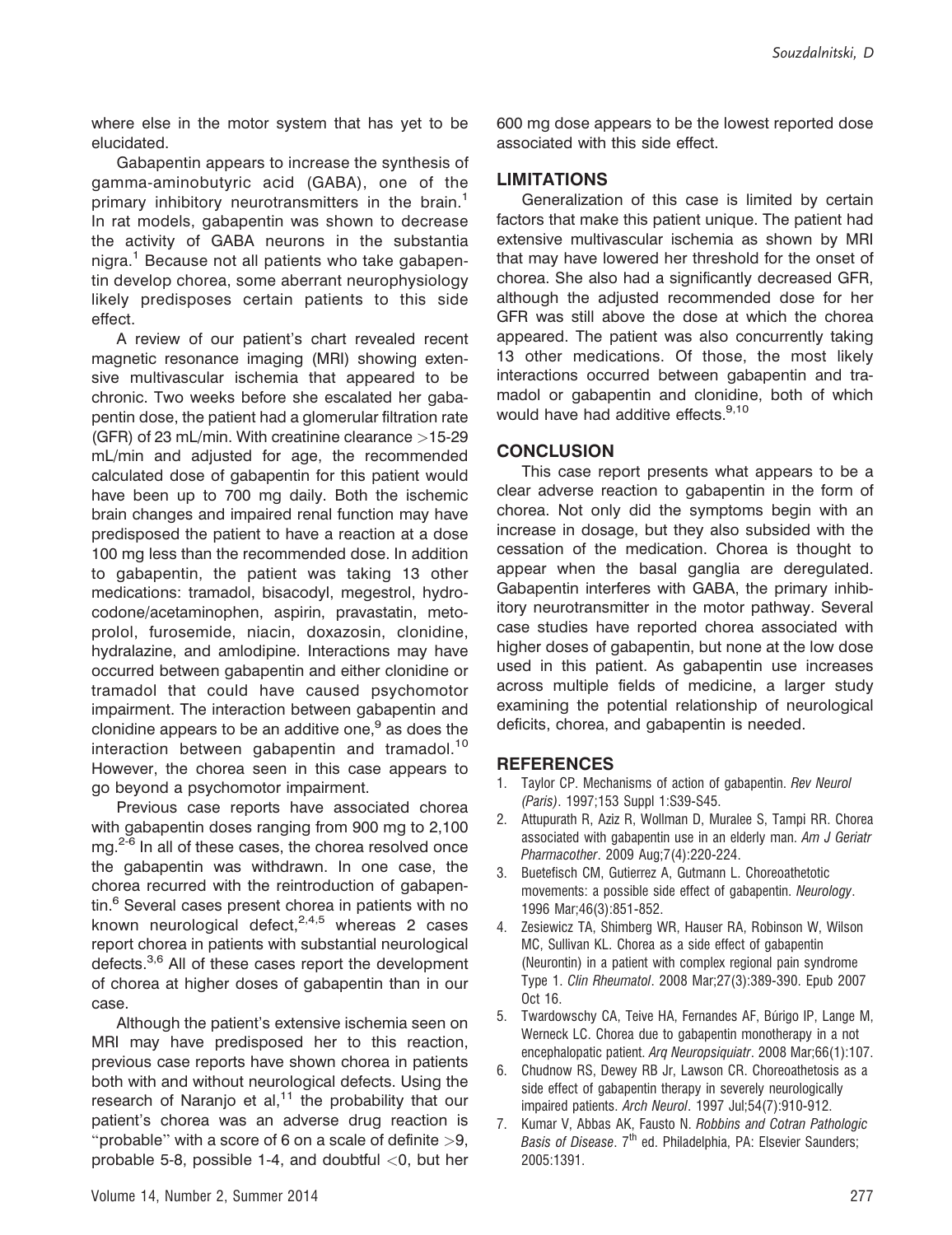where else in the motor system that has yet to be elucidated.

Gabapentin appears to increase the synthesis of gamma-aminobutyric acid (GABA), one of the primary inhibitory neurotransmitters in the brain.<sup>1</sup> In rat models, gabapentin was shown to decrease the activity of GABA neurons in the substantia nigra.<sup>1</sup> Because not all patients who take gabapentin develop chorea, some aberrant neurophysiology likely predisposes certain patients to this side effect.

A review of our patient's chart revealed recent magnetic resonance imaging (MRI) showing extensive multivascular ischemia that appeared to be chronic. Two weeks before she escalated her gabapentin dose, the patient had a glomerular filtration rate (GFR) of 23 mL/min. With creatinine clearance >15-29 mL/min and adjusted for age, the recommended calculated dose of gabapentin for this patient would have been up to 700 mg daily. Both the ischemic brain changes and impaired renal function may have predisposed the patient to have a reaction at a dose 100 mg less than the recommended dose. In addition to gabapentin, the patient was taking 13 other medications: tramadol, bisacodyl, megestrol, hydrocodone/acetaminophen, aspirin, pravastatin, metoprolol, furosemide, niacin, doxazosin, clonidine, hydralazine, and amlodipine. Interactions may have occurred between gabapentin and either clonidine or tramadol that could have caused psychomotor impairment. The interaction between gabapentin and clonidine appears to be an additive one, $9$  as does the interaction between gabapentin and tramadol.<sup>10</sup> However, the chorea seen in this case appears to go beyond a psychomotor impairment.

Previous case reports have associated chorea with gabapentin doses ranging from 900 mg to 2,100 mg.<sup>2-6</sup> In all of these cases, the chorea resolved once the gabapentin was withdrawn. In one case, the chorea recurred with the reintroduction of gabapentin.<sup>6</sup> Several cases present chorea in patients with no known neurological defect, $2,4,5$  whereas 2 cases report chorea in patients with substantial neurological defects.<sup>3,6</sup> All of these cases report the development of chorea at higher doses of gabapentin than in our case.

Although the patient's extensive ischemia seen on MRI may have predisposed her to this reaction, previous case reports have shown chorea in patients both with and without neurological defects. Using the research of Naranjo et al, $11$  the probability that our patient's chorea was an adverse drug reaction is "probable" with a score of 6 on a scale of definite  $>9$ , probable 5-8, possible 1-4, and doubtful  $<$ 0, but her

600 mg dose appears to be the lowest reported dose associated with this side effect.

#### LIMITATIONS

Generalization of this case is limited by certain factors that make this patient unique. The patient had extensive multivascular ischemia as shown by MRI that may have lowered her threshold for the onset of chorea. She also had a significantly decreased GFR, although the adjusted recommended dose for her GFR was still above the dose at which the chorea appeared. The patient was also concurrently taking 13 other medications. Of those, the most likely interactions occurred between gabapentin and tramadol or gabapentin and clonidine, both of which would have had additive effects.<sup>9,10</sup>

#### **CONCLUSION**

This case report presents what appears to be a clear adverse reaction to gabapentin in the form of chorea. Not only did the symptoms begin with an increase in dosage, but they also subsided with the cessation of the medication. Chorea is thought to appear when the basal ganglia are deregulated. Gabapentin interferes with GABA, the primary inhibitory neurotransmitter in the motor pathway. Several case studies have reported chorea associated with higher doses of gabapentin, but none at the low dose used in this patient. As gabapentin use increases across multiple fields of medicine, a larger study examining the potential relationship of neurological deficits, chorea, and gabapentin is needed.

#### **REFERENCES**

- 1. Taylor CP. Mechanisms of action of gabapentin. Rev Neurol (Paris). 1997;153 Suppl 1:S39-S45.
- 2. Attupurath R, Aziz R, Wollman D, Muralee S, Tampi RR. Chorea associated with gabapentin use in an elderly man. Am J Geriatr Pharmacother. 2009 Aug;7(4):220-224.
- 3. Buetefisch CM, Gutierrez A, Gutmann L. Choreoathetotic movements: a possible side effect of gabapentin. Neurology. 1996 Mar;46(3):851-852.
- 4. Zesiewicz TA, Shimberg WR, Hauser RA, Robinson W, Wilson MC, Sullivan KL. Chorea as a side effect of gabapentin (Neurontin) in a patient with complex regional pain syndrome Type 1. Clin Rheumatol. 2008 Mar;27(3):389-390. Epub 2007 Oct 16.
- 5. Twardowschy CA, Teive HA, Fernandes AF, Búrigo IP, Lange M, Werneck LC. Chorea due to gabapentin monotherapy in a not encephalopatic patient. Arq Neuropsiquiatr. 2008 Mar;66(1):107.
- 6. Chudnow RS, Dewey RB Jr, Lawson CR. Choreoathetosis as a side effect of gabapentin therapy in severely neurologically impaired patients. Arch Neurol. 1997 Jul;54(7):910-912.
- 7. Kumar V, Abbas AK, Fausto N. Robbins and Cotran Pathologic Basis of Disease. 7<sup>th</sup> ed. Philadelphia, PA: Elsevier Saunders; 2005:1391.